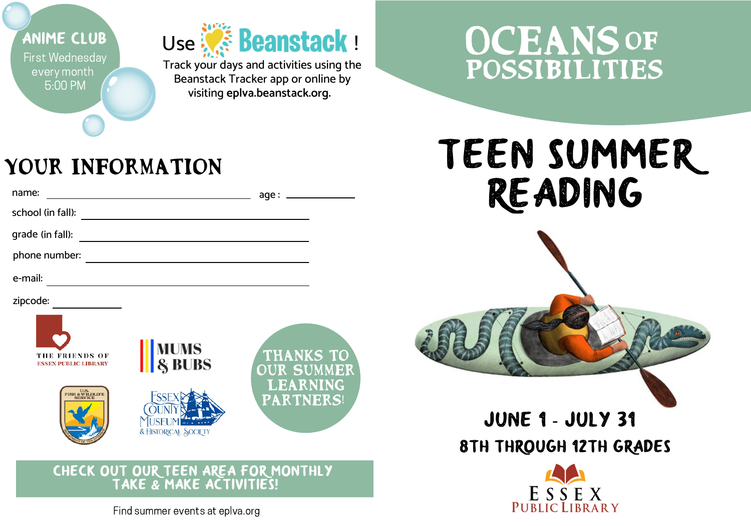

## **OCEANS** Possibilities

## your Information

| name:                                                          |                                                   | age:                                |  |  |
|----------------------------------------------------------------|---------------------------------------------------|-------------------------------------|--|--|
| school (in fall):                                              |                                                   |                                     |  |  |
| grade (in fall):                                               |                                                   |                                     |  |  |
| phone number:                                                  |                                                   |                                     |  |  |
| e-mail:                                                        |                                                   |                                     |  |  |
| zipcode:                                                       |                                                   |                                     |  |  |
| THE FRIENDS OF<br><b>ESSEX PUBLIC LIBRARY</b>                  | <b>MUMS</b><br>& BUBS                             | <b>THANKS TO</b><br>OUR SUMMER      |  |  |
| U.S.<br>TSH & WILDLIFE<br>SERVICE                              | SSE <sub>2</sub><br>USEUM<br>& HISTORICAL SOCIETY | <b>LEARNING</b><br><b>PARTNERS!</b> |  |  |
| CHECK OUT OUR TEEN AREA FOR MONTHLY<br>TAKE & MAKE ACTIVITIES! |                                                   |                                     |  |  |

## tEEN SUMMER rEADING



## June 1 - July 31 8th through 12th grades



Find summer events at eplva.org